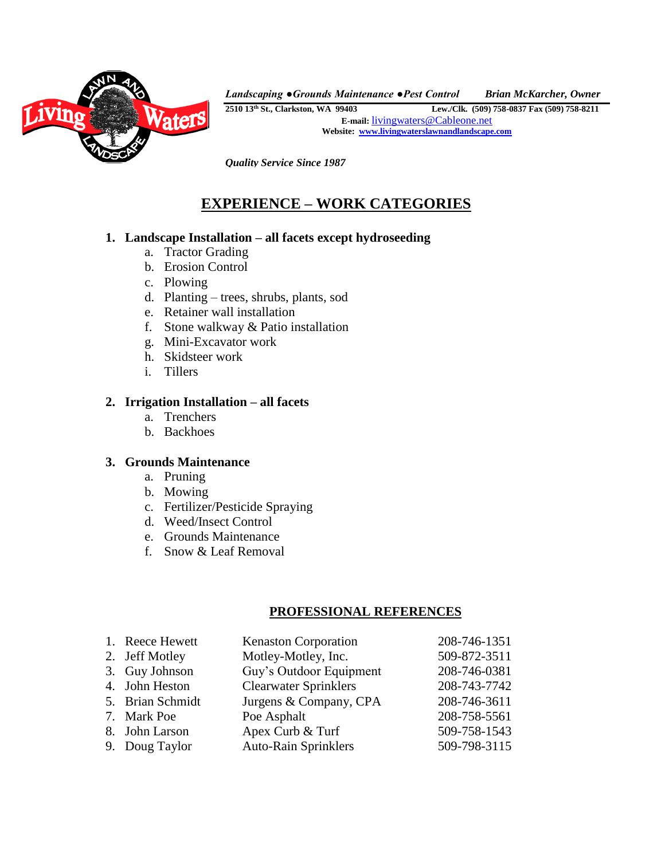

*Landscaping ● Grounds Maintenance ● Pest Control Brian McKarcher, Owner*

**2510 13th St., Clarkston, WA 99403 Lew./Clk. (509) 758-0837 Fax (509) 758-8211 E-mail:** [livingwaters@Cableone.net](mailto:livingwaters@Cableone.net) **Website: [www.livingwaterslawnandlandscape.com](http://www.livingwaterslawnandlandscape.com/)**

*Quality Service Since 1987*

# **EXPERIENCE – WORK CATEGORIES**

## **1. Landscape Installation – all facets except hydroseeding**

- a. Tractor Grading
- b. Erosion Control
- c. Plowing
- d. Planting trees, shrubs, plants, sod
- e. Retainer wall installation
- f. Stone walkway & Patio installation
- g. Mini-Excavator work
- h. Skidsteer work
- i. Tillers

## **2. Irrigation Installation – all facets**

- a. Trenchers
- b. Backhoes

## **3. Grounds Maintenance**

- a. Pruning
- b. Mowing
- c. Fertilizer/Pesticide Spraying
- d. Weed/Insect Control
- e. Grounds Maintenance
- f. Snow & Leaf Removal

## **PROFESSIONAL REFERENCES**

| 1. Reece Hewett  | <b>Kenaston Corporation</b>  | 208-746-1351 |
|------------------|------------------------------|--------------|
| 2. Jeff Motley   | Motley-Motley, Inc.          | 509-872-3511 |
| 3. Guy Johnson   | Guy's Outdoor Equipment      | 208-746-0381 |
| 4. John Heston   | <b>Clearwater Sprinklers</b> | 208-743-7742 |
| 5. Brian Schmidt | Jurgens & Company, CPA       | 208-746-3611 |
| 7. Mark Poe      | Poe Asphalt                  | 208-758-5561 |
| 8. John Larson   | Apex Curb & Turf             | 509-758-1543 |
| 9. Doug Taylor   | <b>Auto-Rain Sprinklers</b>  | 509-798-3115 |